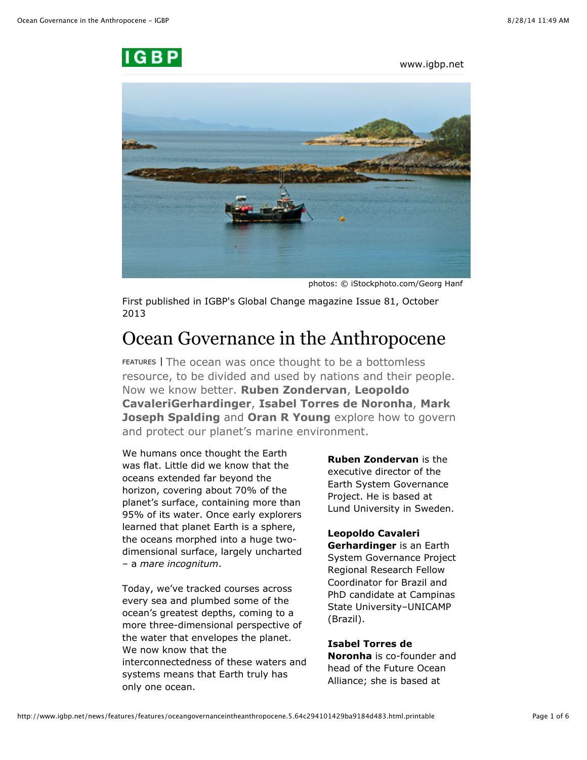

www.igbp.net



photos: © iStockphoto.com/Georg Hanf

First published in IGBP's Global Change magazine Issue 81, October 2013

# Ocean Governance in the Anthropocene

FEATURES | The ocean was once thought to be a bottomless resource, to be divided and used by nations and their people. Now we know better. **Ruben Zondervan**, **Leopoldo CavaleriGerhardinger**, **Isabel Torres de Noronha**, **Mark Joseph Spalding** and **Oran R Young** explore how to govern and protect our planet's marine environment.

We humans once thought the Earth was flat. Little did we know that the oceans extended far beyond the horizon, covering about 70% of the planet's surface, containing more than 95% of its water. Once early explorers learned that planet Earth is a sphere, the oceans morphed into a huge twodimensional surface, largely uncharted – a *mare incognitum*.

Today, we've tracked courses across every sea and plumbed some of the ocean's greatest depths, coming to a more three-dimensional perspective of the water that envelopes the planet. We now know that the interconnectedness of these waters and systems means that Earth truly has only one ocean.

**Ruben Zondervan** is the executive director of the Earth System Governance Project. He is based at Lund University in Sweden.

## **Leopoldo Cavaleri**

**Gerhardinger** is an Earth System Governance Project Regional Research Fellow Coordinator for Brazil and PhD candidate at Campinas State University–UNICAMP (Brazil).

# **Isabel Torres de**

**Noronha** is co-founder and head of the Future Ocean Alliance; she is based at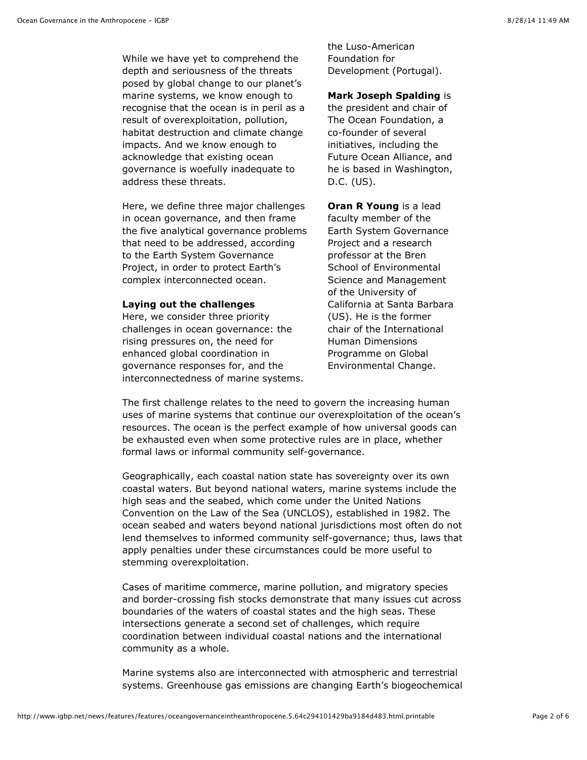While we have yet to comprehend the depth and seriousness of the threats posed by global change to our planet's marine systems, we know enough to recognise that the ocean is in peril as a result of overexploitation, pollution, habitat destruction and climate change impacts. And we know enough to acknowledge that existing ocean governance is woefully inadequate to address these threats.

Here, we define three major challenges in ocean governance, and then frame the five analytical governance problems that need to be addressed, according to the Earth System Governance Project, in order to protect Earth's complex interconnected ocean.

#### **Laying out the challenges**

Here, we consider three priority challenges in ocean governance: the rising pressures on, the need for enhanced global coordination in governance responses for, and the interconnectedness of marine systems. the Luso-American Foundation for Development (Portugal).

**Mark Joseph Spalding** is the president and chair of The Ocean Foundation, a co-founder of several initiatives, including the Future Ocean Alliance, and he is based in Washington, D.C. (US).

**Oran R Young** is a lead faculty member of the Earth System Governance Project and a research professor at the Bren School of Environmental Science and Management of the University of California at Santa Barbara (US). He is the former chair of the International Human Dimensions Programme on Global Environmental Change.

The first challenge relates to the need to govern the increasing human uses of marine systems that continue our overexploitation of the ocean's resources. The ocean is the perfect example of how universal goods can be exhausted even when some protective rules are in place, whether formal laws or informal community self-governance.

Geographically, each coastal nation state has sovereignty over its own coastal waters. But beyond national waters, marine systems include the high seas and the seabed, which come under the United Nations Convention on the Law of the Sea (UNCLOS), established in 1982. The ocean seabed and waters beyond national jurisdictions most often do not lend themselves to informed community self-governance; thus, laws that apply penalties under these circumstances could be more useful to stemming overexploitation.

Cases of maritime commerce, marine pollution, and migratory species and border-crossing fish stocks demonstrate that many issues cut across boundaries of the waters of coastal states and the high seas. These intersections generate a second set of challenges, which require coordination between individual coastal nations and the international community as a whole.

Marine systems also are interconnected with atmospheric and terrestrial systems. Greenhouse gas emissions are changing Earth's biogeochemical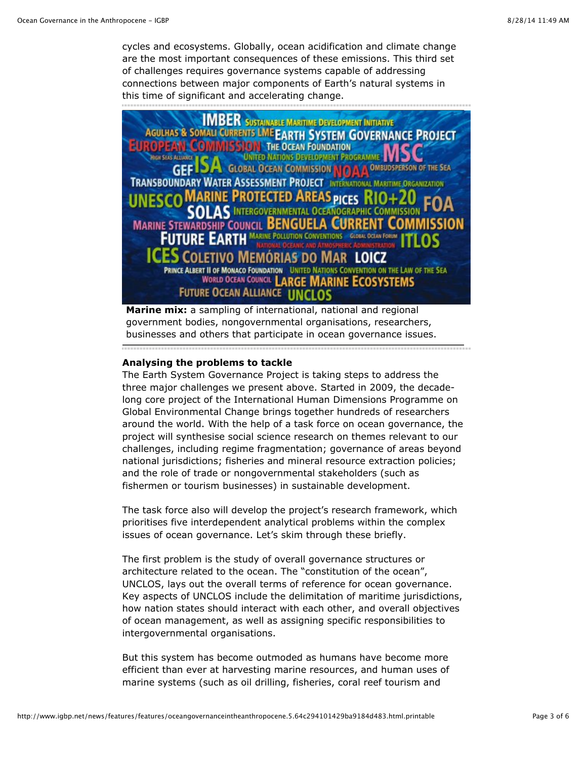cycles and ecosystems. Globally, ocean acidification and climate change are the most important consequences of these emissions. This third set of challenges requires governance systems capable of addressing connections between major components of Earth's natural systems in this time of significant and accelerating change.



**Marine mix:** [a sampling of international, national and regional](http://www.igbp.net/images/18.30566fc6142425d6c911a97/1384954097302/NL81-OG-marinemix.jpg) government bodies, nongovernmental organisations, researchers, businesses and others that participate in ocean governance issues.

#### **Analysing the problems to tackle**

The Earth System Governance Project is taking steps to address the three major challenges we present above. Started in 2009, the decadelong core project of the International Human Dimensions Programme on Global Environmental Change brings together hundreds of researchers around the world. With the help of a task force on ocean governance, the project will synthesise social science research on themes relevant to our challenges, including regime fragmentation; governance of areas beyond national jurisdictions; fisheries and mineral resource extraction policies; and the role of trade or nongovernmental stakeholders (such as fishermen or tourism businesses) in sustainable development.

The task force also will develop the project's research framework, which prioritises five interdependent analytical problems within the complex issues of ocean governance. Let's skim through these briefly.

The first problem is the study of overall governance structures or architecture related to the ocean. The "constitution of the ocean", UNCLOS, lays out the overall terms of reference for ocean governance. Key aspects of UNCLOS include the delimitation of maritime jurisdictions, how nation states should interact with each other, and overall objectives of ocean management, as well as assigning specific responsibilities to intergovernmental organisations.

But this system has become outmoded as humans have become more efficient than ever at harvesting marine resources, and human uses of marine systems (such as oil drilling, fisheries, coral reef tourism and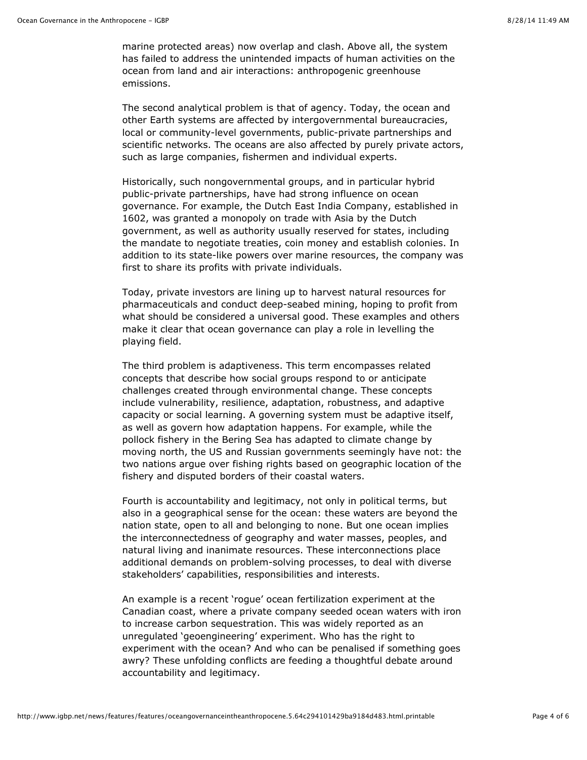marine protected areas) now overlap and clash. Above all, the system has failed to address the unintended impacts of human activities on the ocean from land and air interactions: anthropogenic greenhouse emissions.

The second analytical problem is that of agency. Today, the ocean and other Earth systems are affected by intergovernmental bureaucracies, local or community-level governments, public-private partnerships and scientific networks. The oceans are also affected by purely private actors, such as large companies, fishermen and individual experts.

Historically, such nongovernmental groups, and in particular hybrid public-private partnerships, have had strong influence on ocean governance. For example, the Dutch East India Company, established in 1602, was granted a monopoly on trade with Asia by the Dutch government, as well as authority usually reserved for states, including the mandate to negotiate treaties, coin money and establish colonies. In addition to its state-like powers over marine resources, the company was first to share its profits with private individuals.

Today, private investors are lining up to harvest natural resources for pharmaceuticals and conduct deep-seabed mining, hoping to profit from what should be considered a universal good. These examples and others make it clear that ocean governance can play a role in levelling the playing field.

The third problem is adaptiveness. This term encompasses related concepts that describe how social groups respond to or anticipate challenges created through environmental change. These concepts include vulnerability, resilience, adaptation, robustness, and adaptive capacity or social learning. A governing system must be adaptive itself, as well as govern how adaptation happens. For example, while the pollock fishery in the Bering Sea has adapted to climate change by moving north, the US and Russian governments seemingly have not: the two nations argue over fishing rights based on geographic location of the fishery and disputed borders of their coastal waters.

Fourth is accountability and legitimacy, not only in political terms, but also in a geographical sense for the ocean: these waters are beyond the nation state, open to all and belonging to none. But one ocean implies the interconnectedness of geography and water masses, peoples, and natural living and inanimate resources. These interconnections place additional demands on problem-solving processes, to deal with diverse stakeholders' capabilities, responsibilities and interests.

An example is a recent 'rogue' ocean fertilization experiment at the Canadian coast, where a private company seeded ocean waters with iron to increase carbon sequestration. This was widely reported as an unregulated 'geoengineering' experiment. Who has the right to experiment with the ocean? And who can be penalised if something goes awry? These unfolding conflicts are feeding a thoughtful debate around accountability and legitimacy.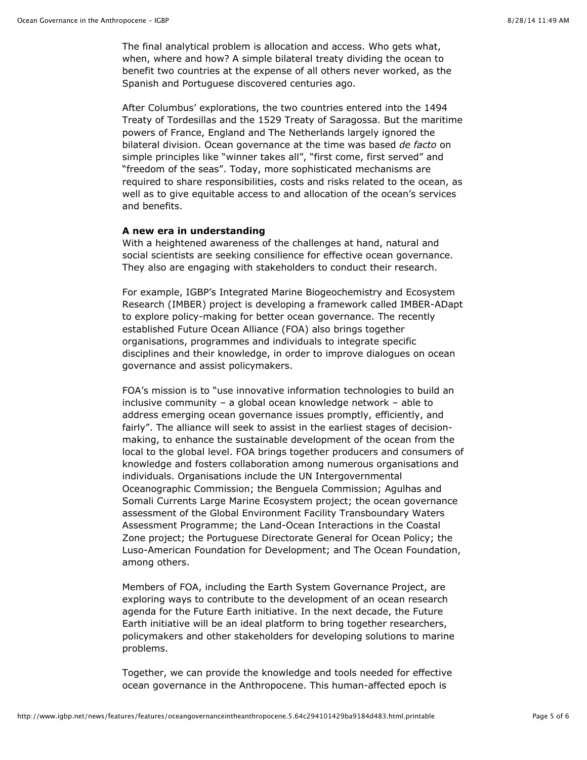The final analytical problem is allocation and access. Who gets what, when, where and how? A simple bilateral treaty dividing the ocean to benefit two countries at the expense of all others never worked, as the Spanish and Portuguese discovered centuries ago.

After Columbus' explorations, the two countries entered into the 1494 Treaty of Tordesillas and the 1529 Treaty of Saragossa. But the maritime powers of France, England and The Netherlands largely ignored the bilateral division. Ocean governance at the time was based *de facto* on simple principles like "winner takes all", "first come, first served" and "freedom of the seas". Today, more sophisticated mechanisms are required to share responsibilities, costs and risks related to the ocean, as well as to give equitable access to and allocation of the ocean's services and benefits.

#### **A new era in understanding**

With a heightened awareness of the challenges at hand, natural and social scientists are seeking consilience for effective ocean governance. They also are engaging with stakeholders to conduct their research.

For example, IGBP's Integrated Marine Biogeochemistry and Ecosystem Research (IMBER) project is developing a framework called IMBER-ADapt to explore policy-making for better ocean governance. The recently established Future Ocean Alliance (FOA) also brings together organisations, programmes and individuals to integrate specific disciplines and their knowledge, in order to improve dialogues on ocean governance and assist policymakers.

FOA's mission is to "use innovative information technologies to build an inclusive community – a global ocean knowledge network – able to address emerging ocean governance issues promptly, efficiently, and fairly". The alliance will seek to assist in the earliest stages of decisionmaking, to enhance the sustainable development of the ocean from the local to the global level. FOA brings together producers and consumers of knowledge and fosters collaboration among numerous organisations and individuals. Organisations include the UN Intergovernmental Oceanographic Commission; the Benguela Commission; Agulhas and Somali Currents Large Marine Ecosystem project; the ocean governance assessment of the Global Environment Facility Transboundary Waters Assessment Programme; the Land-Ocean Interactions in the Coastal Zone project; the Portuguese Directorate General for Ocean Policy; the Luso-American Foundation for Development; and The Ocean Foundation, among others.

Members of FOA, including the Earth System Governance Project, are exploring ways to contribute to the development of an ocean research agenda for the Future Earth initiative. In the next decade, the Future Earth initiative will be an ideal platform to bring together researchers, policymakers and other stakeholders for developing solutions to marine problems.

Together, we can provide the knowledge and tools needed for effective ocean governance in the Anthropocene. This human-affected epoch is